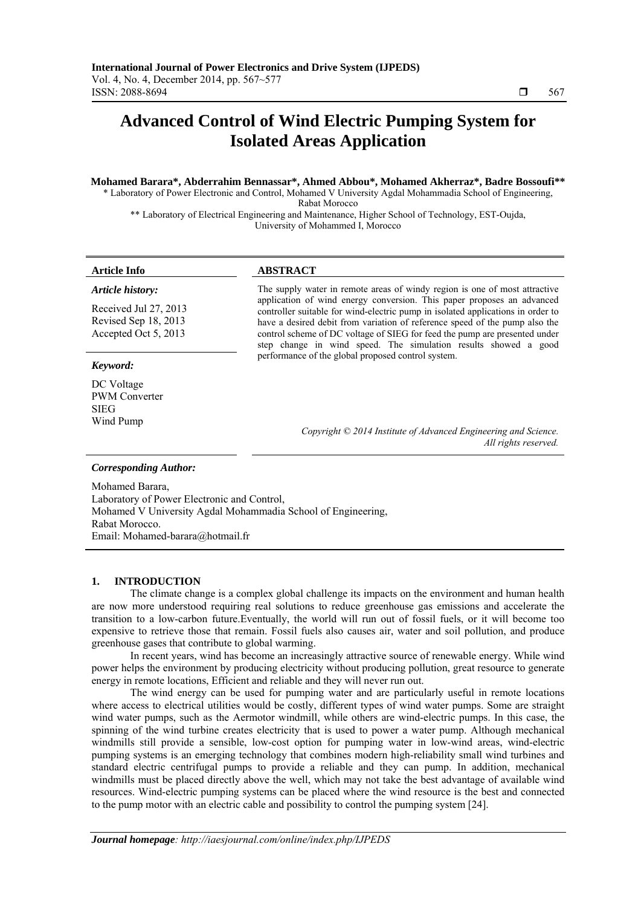# **Advanced Control of Wind Electric Pumping System for Isolated Areas Application**

# **Mohamed Barara\*, Abderrahim Bennassar\*, Ahmed Abbou\*, Mohamed Akherraz\*, Badre Bossoufi\*\***

\* Laboratory of Power Electronic and Control, Mohamed V University Agdal Mohammadia School of Engineering, Rabat Morocco

\*\* Laboratory of Electrical Engineering and Maintenance, Higher School of Technology, EST-Oujda, University of Mohammed I, Morocco

### **Article Info ABSTRACT**

*Article history:* 

Received Jul 27, 2013 Revised Sep 18, 2013 Accepted Oct 5, 2013

# *Keyword:*

DC Voltage PWM Converter SIEG Wind Pump

The supply water in remote areas of windy region is one of most attractive application of wind energy conversion. This paper proposes an advanced controller suitable for wind-electric pump in isolated applications in order to have a desired debit from variation of reference speed of the pump also the control scheme of DC voltage of SIEG for feed the pump are presented under step change in wind speed. The simulation results showed a good performance of the global proposed control system.

> *Copyright © 2014 Institute of Advanced Engineering and Science. All rights reserved.*

### *Corresponding Author:*

Mohamed Barara, Laboratory of Power Electronic and Control, Mohamed V University Agdal Mohammadia School of Engineering, Rabat Morocco. Email: Mohamed-barara@hotmail.fr

# **1. INTRODUCTION**

The climate change is a complex global challenge its impacts on the environment and human health are now more understood requiring real solutions to reduce greenhouse gas emissions and accelerate the transition to a low-carbon future.Eventually, the world will run out of fossil fuels, or it will become too expensive to retrieve those that remain. Fossil fuels also causes air, water and soil pollution, and produce greenhouse gases that contribute to global warming.

In recent years, wind has become an increasingly attractive source of renewable energy. While wind power helps the environment by producing electricity without producing pollution, great resource to generate energy in remote locations, Efficient and reliable and they will never run out.

The wind energy can be used for pumping water and are particularly useful in remote locations where access to electrical utilities would be costly, different types of wind water pumps. Some are straight wind water pumps, such as the Aermotor windmill, while others are wind-electric pumps. In this case, the spinning of the wind turbine creates electricity that is used to power a water pump. Although mechanical windmills still provide a sensible, low-cost option for pumping water in low-wind areas, wind-electric pumping systems is an emerging technology that combines modern high-reliability small wind turbines and standard electric centrifugal pumps to provide a reliable and they can pump. In addition, mechanical windmills must be placed directly above the well, which may not take the best advantage of available wind resources. Wind-electric pumping systems can be placed where the wind resource is the best and connected to the pump motor with an electric cable and possibility to control the pumping system [24].

ֺֺ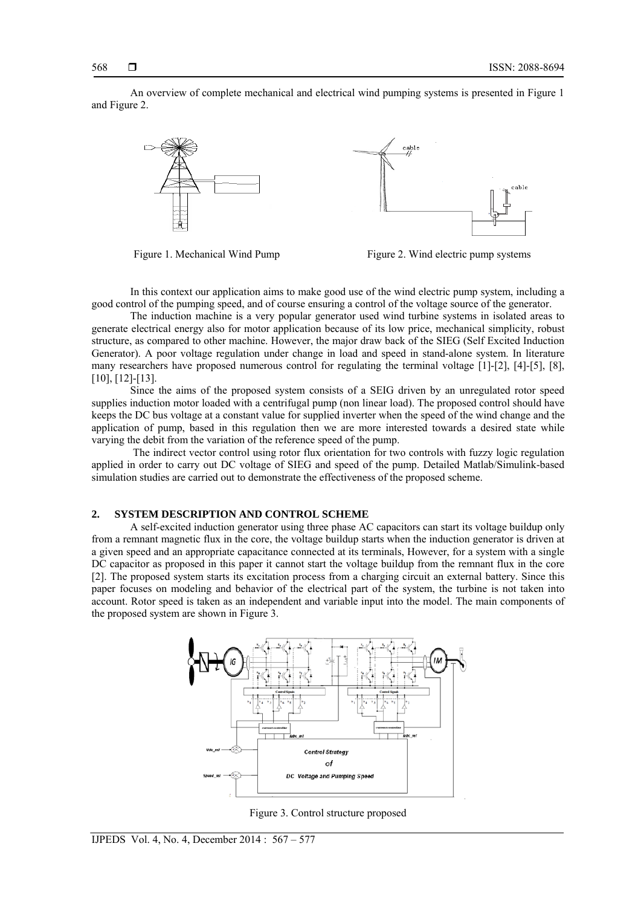An overview of complete mechanical and electrical wind pumping systems is presented in Figure 1 and Figure 2.





In this context our application aims to make good use of the wind electric pump system, including a good control of the pumping speed, and of course ensuring a control of the voltage source of the generator.

The induction machine is a very popular generator used wind turbine systems in isolated areas to generate electrical energy also for motor application because of its low price, mechanical simplicity, robust structure, as compared to other machine. However, the major draw back of the SIEG (Self Excited Induction Generator). A poor voltage regulation under change in load and speed in stand-alone system. In literature many researchers have proposed numerous control for regulating the terminal voltage [1]-[2], [4]-[5], [8], [10], [12]-[13].

Since the aims of the proposed system consists of a SEIG driven by an unregulated rotor speed supplies induction motor loaded with a centrifugal pump (non linear load). The proposed control should have keeps the DC bus voltage at a constant value for supplied inverter when the speed of the wind change and the application of pump, based in this regulation then we are more interested towards a desired state while varying the debit from the variation of the reference speed of the pump.

 The indirect vector control using rotor flux orientation for two controls with fuzzy logic regulation applied in order to carry out DC voltage of SIEG and speed of the pump. Detailed Matlab/Simulink-based simulation studies are carried out to demonstrate the effectiveness of the proposed scheme.

# **2. SYSTEM DESCRIPTION AND CONTROL SCHEME**

A self-excited induction generator using three phase AC capacitors can start its voltage buildup only from a remnant magnetic flux in the core, the voltage buildup starts when the induction generator is driven at a given speed and an appropriate capacitance connected at its terminals, However, for a system with a single DC capacitor as proposed in this paper it cannot start the voltage buildup from the remnant flux in the core [2]. The proposed system starts its excitation process from a charging circuit an external battery. Since this paper focuses on modeling and behavior of the electrical part of the system, the turbine is not taken into account. Rotor speed is taken as an independent and variable input into the model. The main components of the proposed system are shown in Figure 3.



Figure 3. Control structure proposed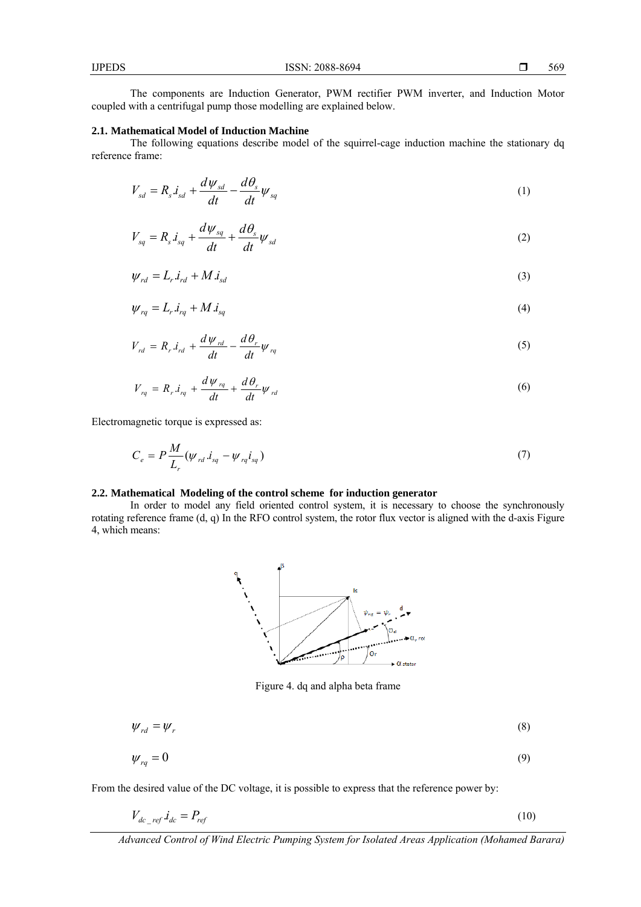The components are Induction Generator, PWM rectifier PWM inverter, and Induction Motor coupled with a centrifugal pump those modelling are explained below.

#### **2.1. Mathematical Model of Induction Machine**

The following equations describe model of the squirrel-cage induction machine the stationary dq reference frame:

$$
V_{sd} = R_s \dot{I}_{sd} + \frac{d\psi_{sd}}{dt} - \frac{d\theta_s}{dt} \psi_{sq} \tag{1}
$$

$$
V_{sq} = R_s \dot{I}_{sq} + \frac{d\psi_{sq}}{dt} + \frac{d\theta_s}{dt} \psi_{sd} \tag{2}
$$

$$
\psi_{rd} = L_r \dot{I}_{rd} + M \dot{I}_{sd} \tag{3}
$$

$$
\psi_{rq} = L_r \dot{x}_{rq} + M \dot{x}_{sq} \tag{4}
$$

$$
V_{rd} = R_r \dot{I}_{rd} + \frac{d \psi_{rd}}{dt} - \frac{d \theta_r}{dt} \psi_{rq}
$$
\n
$$
\tag{5}
$$

$$
V_{rq} = R_r . i_{rq} + \frac{d \psi_{rq}}{dt} + \frac{d \theta_r}{dt} \psi_{rd}
$$
\n
$$
\tag{6}
$$

Electromagnetic torque is expressed as:

$$
C_e = P \frac{M}{L_r} (\psi_{rd}.i_{sq} - \psi_{rq}i_{sq})
$$
\n
$$
\tag{7}
$$

#### **2.2. Mathematical Modeling of the control scheme for induction generator**

In order to model any field oriented control system, it is necessary to choose the synchronously rotating reference frame (d, q) In the RFO control system, the rotor flux vector is aligned with the d-axis Figure 4, which means:



Figure 4. dq and alpha beta frame

$$
\psi_{rd} = \psi_r \tag{8}
$$

$$
\psi_{rq} = 0 \tag{9}
$$

From the desired value of the DC voltage, it is possible to express that the reference power by:

$$
V_{dc\_ref}.i_{dc} = P_{ref} \tag{10}
$$

*Advanced Control of Wind Electric Pumping System for Isolated Areas Application (Mohamed Barara)*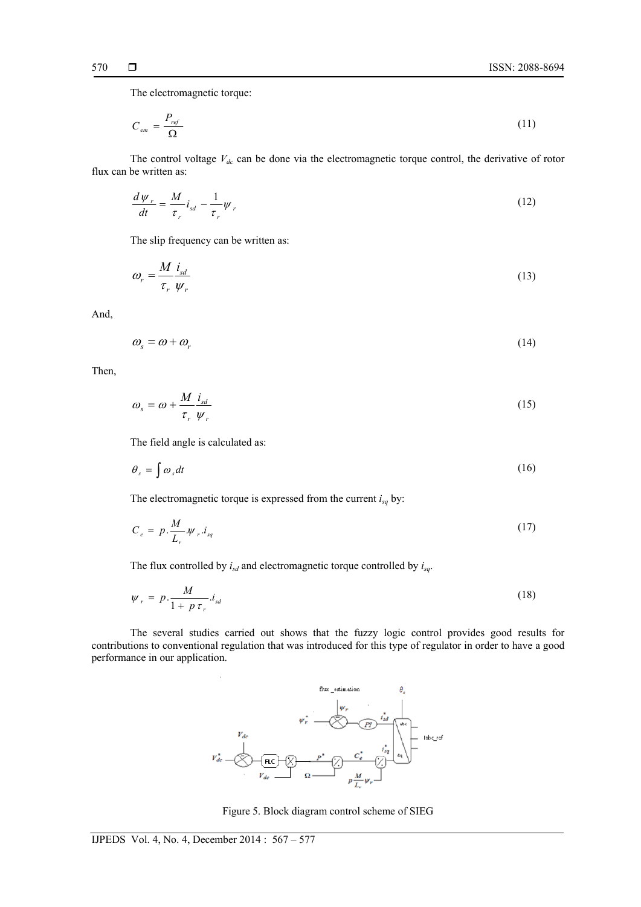The electromagnetic torque:

$$
C_{em} = \frac{P_{ref}}{\Omega} \tag{11}
$$

The control voltage  $V_{dc}$  can be done via the electromagnetic torque control, the derivative of rotor flux can be written as:

$$
\frac{d\psi_r}{dt} = \frac{M}{\tau_r} i_{sd} - \frac{1}{\tau_r} \psi_r \tag{12}
$$

The slip frequency can be written as:

$$
\omega_r = \frac{M}{\tau_r} \frac{i_{sd}}{\psi_r} \tag{13}
$$

And,

$$
\omega_s = \omega + \omega_r \tag{14}
$$

Then,

$$
\omega_s = \omega + \frac{M}{\tau_r} \frac{i_{sd}}{\psi_r} \tag{15}
$$

The field angle is calculated as:

$$
\theta_s = \int \omega_s dt \tag{16}
$$

The electromagnetic torque is expressed from the current *isq* by:

$$
C_e = p \cdot \frac{M}{L_r} \psi_r \cdot i_{sq} \tag{17}
$$

The flux controlled by *isd* and electromagnetic torque controlled by *isq*.

$$
\psi_r = p \cdot \frac{M}{1 + p \tau_r} i_{sd} \tag{18}
$$

 The several studies carried out shows that the fuzzy logic control provides good results for contributions to conventional regulation that was introduced for this type of regulator in order to have a good performance in our application.



Figure 5. Block diagram control scheme of SIEG

l,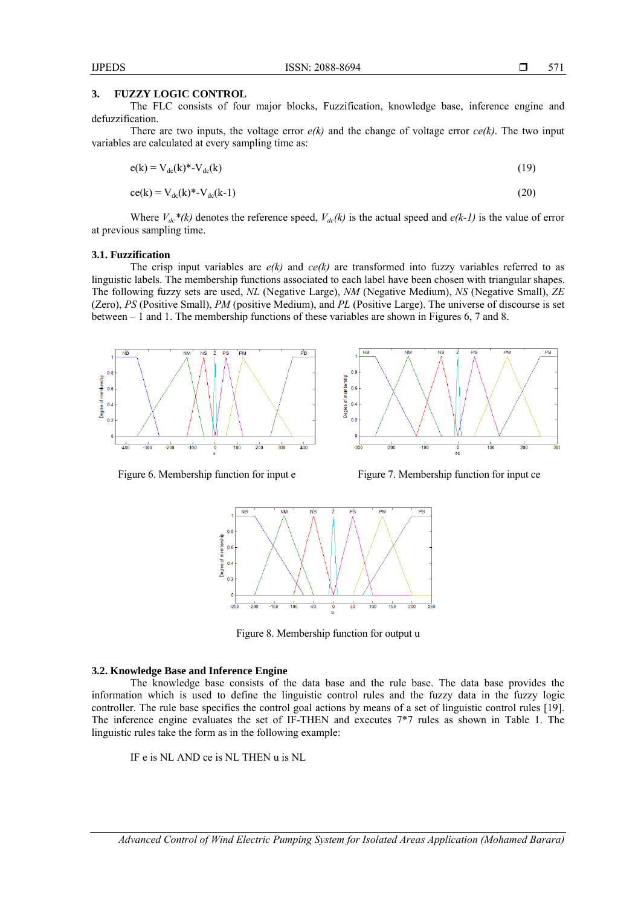#### **3. FUZZY LOGIC CONTROL**

The FLC consists of four major blocks, Fuzzification, knowledge base, inference engine and defuzzification.

There are two inputs, the voltage error  $e(k)$  and the change of voltage error  $ce(k)$ . The two input variables are calculated at every sampling time as:

$$
e(k) = V_{dc}(k)^* - V_{dc}(k) \tag{19}
$$

$$
ce(k) = Vdc(k)*-Vdc(k-1)
$$
\n(20)

Where  $V_{dc}^*$  (k) denotes the reference speed,  $V_{dc}^*(k)$  is the actual speed and  $e(k-1)$  is the value of error at previous sampling time.

#### **3.1. Fuzzification**

The crisp input variables are  $e(k)$  and  $ce(k)$  are transformed into fuzzy variables referred to as linguistic labels. The membership functions associated to each label have been chosen with triangular shapes. The following fuzzy sets are used, *NL* (Negative Large), *NM* (Negative Medium), *NS* (Negative Small), *ZE* (Zero), *PS* (Positive Small), *PM* (positive Medium), and *PL* (Positive Large). The universe of discourse is set between – 1 and 1. The membership functions of these variables are shown in Figures 6, 7 and 8.



Figure 6. Membership function for input e Figure 7. Membership function for input ce



Figure 8. Membership function for output u

#### **3.2. Knowledge Base and Inference Engine**

The knowledge base consists of the data base and the rule base. The data base provides the information which is used to define the linguistic control rules and the fuzzy data in the fuzzy logic controller. The rule base specifies the control goal actions by means of a set of linguistic control rules [19]. The inference engine evaluates the set of IF-THEN and executes 7\*7 rules as shown in Table 1. The linguistic rules take the form as in the following example:

IF e is NL AND ce is NL THEN u is NL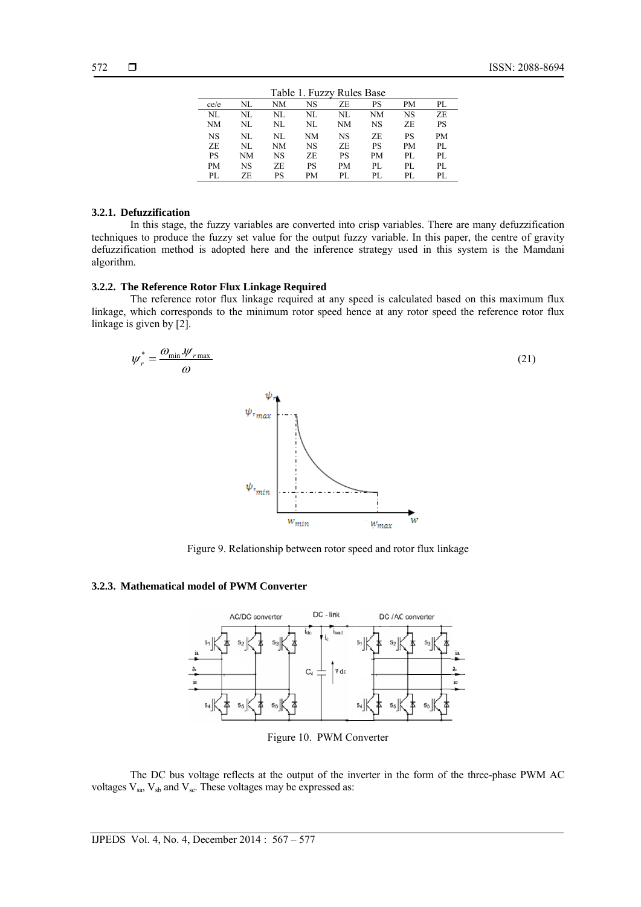| Table 1. Fuzzy Rules Base |     |           |    |     |     |           |     |
|---------------------------|-----|-----------|----|-----|-----|-----------|-----|
| ce/e                      | NL  | NΜ        | NS | ΖE  | PS  | PМ        | PL. |
| NL                        | NL  | NL        | NL | NL  | NM  | NS        | ZE. |
| NΜ                        | NL  | NL        | NL | NM  | NS  | ZE.       | PS  |
| NS                        | NL  | NL        | NΜ | NS  | ZE. | PS        | PM  |
| ZE.                       | NL. | NΜ        | NS | ZE. | PS  | <b>PM</b> | PI. |
| <b>PS</b>                 | NM  | <b>NS</b> | ZE | PS  | PM  | PL.       | PI. |
| <b>PM</b>                 | NS  | ZE.       | PS | PМ  | PL. | PL.       | PI. |
| PL.                       | ZF. | PS        | PM | PL. | PL. | PL.       | PL. |

#### **3.2.1. Defuzzification**

In this stage, the fuzzy variables are converted into crisp variables. There are many defuzzification techniques to produce the fuzzy set value for the output fuzzy variable. In this paper, the centre of gravity defuzzification method is adopted here and the inference strategy used in this system is the Mamdani algorithm.

# **3.2.2. The Reference Rotor Flux Linkage Required**

The reference rotor flux linkage required at any speed is calculated based on this maximum flux linkage, which corresponds to the minimum rotor speed hence at any rotor speed the reference rotor flux linkage is given by [2].



Figure 9. Relationship between rotor speed and rotor flux linkage

# **3.2.3. Mathematical model of PWM Converter**



Figure 10. PWM Converter

The DC bus voltage reflects at the output of the inverter in the form of the three-phase PWM AC voltages  $V_{sa}$ ,  $V_{sb}$  and  $V_{sc}$ . These voltages may be expressed as: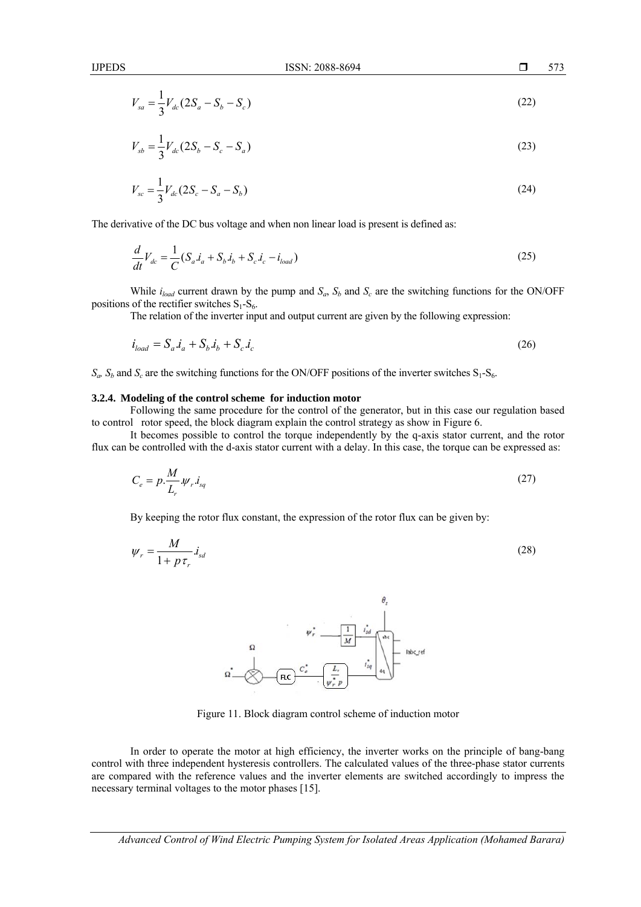IJPEDS ISSN: 2088-8694

$$
V_{sa} = \frac{1}{3} V_{dc} (2S_a - S_b - S_c)
$$
 (22)

$$
V_{sb} = \frac{1}{3} V_{dc} (2S_b - S_c - S_a)
$$
 (23)

$$
V_{sc} = \frac{1}{3} V_{dc} (2S_c - S_a - S_b)
$$
 (24)

The derivative of the DC bus voltage and when non linear load is present is defined as:

$$
\frac{d}{dt}V_{dc} = \frac{1}{C}(S_a \dot{I}_a + S_b \dot{I}_b + S_c \dot{I}_c - \dot{I}_{load})
$$
\n(25)

While  $i_{load}$  current drawn by the pump and  $S_a$ ,  $S_b$  and  $S_c$  are the switching functions for the ON/OFF positions of the rectifier switches  $S_1-S_6$ .

The relation of the inverter input and output current are given by the following expression:

$$
i_{load} = S_a \dot{t}_a + S_b \dot{t}_b + S_c \dot{t}_c \tag{26}
$$

 $S_a$ ,  $S_b$  and  $S_c$  are the switching functions for the ON/OFF positions of the inverter switches  $S_1$ - $S_6$ .

#### **3.2.4. Modeling of the control scheme for induction motor**

Following the same procedure for the control of the generator, but in this case our regulation based to control rotor speed, the block diagram explain the control strategy as show in Figure 6.

It becomes possible to control the torque independently by the q-axis stator current, and the rotor flux can be controlled with the d-axis stator current with a delay. In this case, the torque can be expressed as:

$$
C_e = p \cdot \frac{M}{L_r} \cdot \psi_r \cdot i_{sq} \tag{27}
$$

By keeping the rotor flux constant, the expression of the rotor flux can be given by:

$$
\psi_r = \frac{M}{1 + p \tau_r} \dot{I}_{sd} \tag{28}
$$



Figure 11. Block diagram control scheme of induction motor

In order to operate the motor at high efficiency, the inverter works on the principle of bang-bang control with three independent hysteresis controllers. The calculated values of the three-phase stator currents are compared with the reference values and the inverter elements are switched accordingly to impress the necessary terminal voltages to the motor phases [15].

*Advanced Control of Wind Electric Pumping System for Isolated Areas Application (Mohamed Barara)*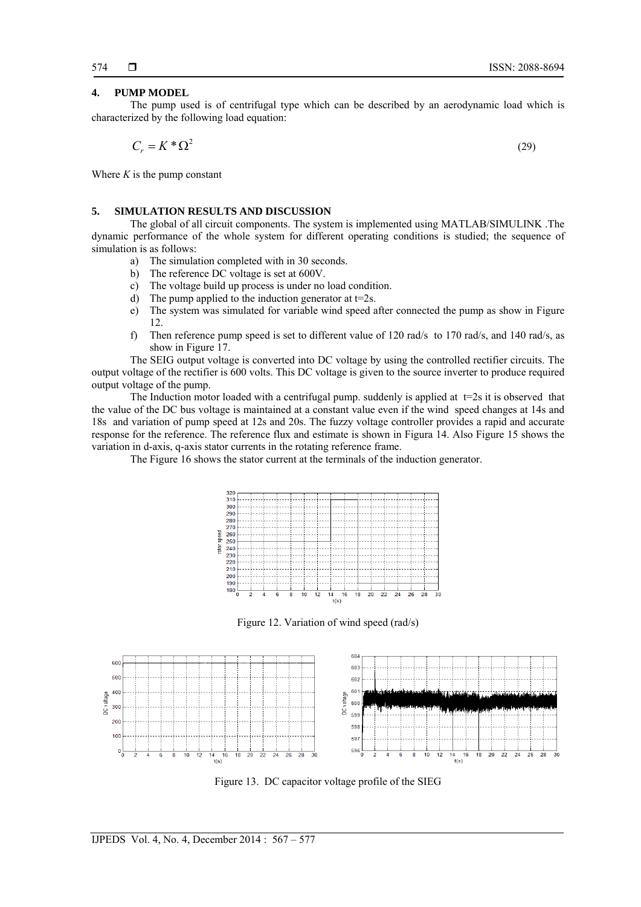#### **4. PUMP MODEL**

The pump used is of centrifugal type which can be described by an aerodynamic load which is characterized by the following load equation:

$$
C_r = K^* \Omega^2 \tag{29}
$$

Where  $K$  is the pump constant

# **5. SIMULATION RESULTS AND DISCUSSION**

The global of all circuit components. The system is implemented using MATLAB/SIMULINK .The dynamic performance of the whole system for different operating conditions is studied; the sequence of simulation is as follows:

- a) The simulation completed with in 30 seconds.
- b) The reference DC voltage is set at 600V.
- c) The voltage build up process is under no load condition.
- d) The pump applied to the induction generator at  $t=2s$ .
- e) The system was simulated for variable wind speed after connected the pump as show in Figure 12.
- f) Then reference pump speed is set to different value of 120 rad/s to 170 rad/s, and 140 rad/s, as show in Figure 17.

The SEIG output voltage is converted into DC voltage by using the controlled rectifier circuits. The output voltage of the rectifier is 600 volts. This DC voltage is given to the source inverter to produce required output voltage of the pump.

The Induction motor loaded with a centrifugal pump. suddenly is applied at  $t=2s$  it is observed that the value of the DC bus voltage is maintained at a constant value even if the wind speed changes at 14s and 18s and variation of pump speed at 12s and 20s. The fuzzy voltage controller provides a rapid and accurate response for the reference. The reference flux and estimate is shown in Figura 14. Also Figure 15 shows the variation in d-axis, q-axis stator currents in the rotating reference frame.

The Figure 16 shows the stator current at the terminals of the induction generator.



Figure 12. Variation of wind speed (rad/s)



Figure 13. DC capacitor voltage profile of the SIEG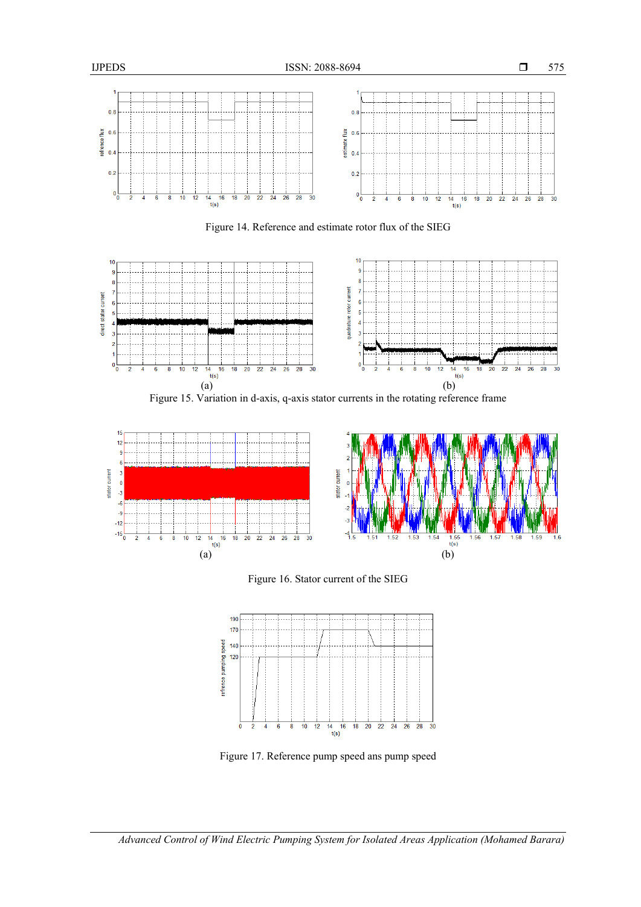

Figure 14. Reference and estimate rotor flux of the SIEG



Figure 15. Variation in d-axis, q-axis stator currents in the rotating reference frame







Figure 17. Reference pump speed ans pump speed

*Advanced Control of Wind Electric Pumping System for Isolated Areas Application (Mohamed Barara)*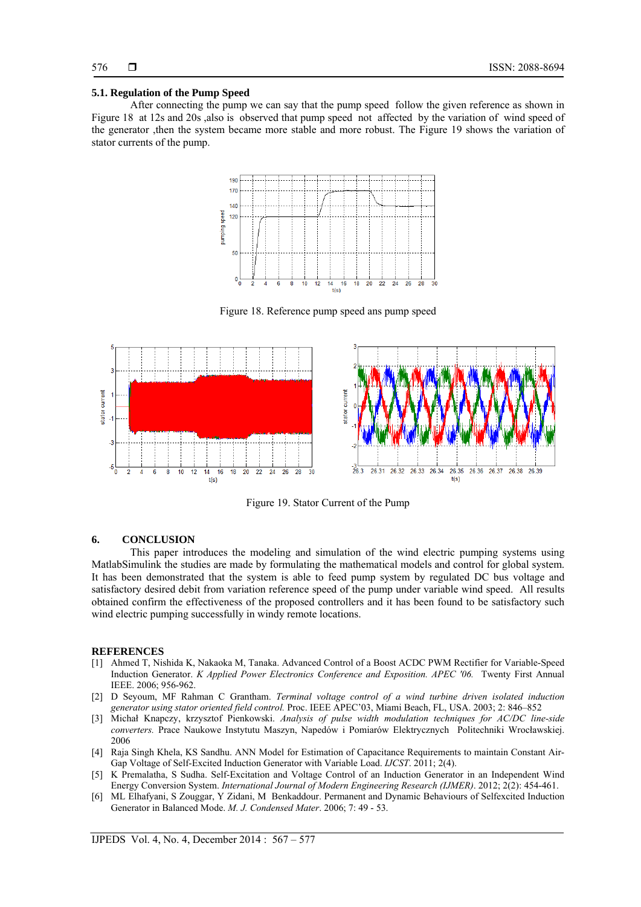### **5.1. Regulation of the Pump Speed**

After connecting the pump we can say that the pump speed follow the given reference as shown in Figure 18 at 12s and 20s ,also is observed that pump speed not affected by the variation of wind speed of the generator ,then the system became more stable and more robust. The Figure 19 shows the variation of stator currents of the pump.



Figure 18. Reference pump speed ans pump speed



Figure 19. Stator Current of the Pump

# **6. CONCLUSION**

This paper introduces the modeling and simulation of the wind electric pumping systems using MatlabSimulink the studies are made by formulating the mathematical models and control for global system. It has been demonstrated that the system is able to feed pump system by regulated DC bus voltage and satisfactory desired debit from variation reference speed of the pump under variable wind speed. All results obtained confirm the effectiveness of the proposed controllers and it has been found to be satisfactory such wind electric pumping successfully in windy remote locations.

#### **REFERENCES**

- [1] Ahmed T, Nishida K, Nakaoka M, Tanaka. Advanced Control of a Boost ACDC PWM Rectifier for Variable-Speed Induction Generator. *K Applied Power Electronics Conference and Exposition. APEC '06.* Twenty First Annual IEEE. 2006; 956-962.
- [2] D Seyoum, MF Rahman C Grantham. *Terminal voltage control of a wind turbine driven isolated induction generator using stator oriented field control.* Proc. IEEE APEC'03, Miami Beach, FL, USA. 2003; 2: 846–852
- [3] Michał Knapczy, krzysztof Pienkowski. *Analysis of pulse width modulation techniques for AC/DC line-side converters.* Prace Naukowe Instytutu Maszyn, Napedów i Pomiarów Elektrycznych Politechniki Wrocławskiej. 2006
- [4] Raja Singh Khela, KS Sandhu. ANN Model for Estimation of Capacitance Requirements to maintain Constant Air-Gap Voltage of Self-Excited Induction Generator with Variable Load. *IJCST*. 2011; 2(4).
- [5] K Premalatha, S Sudha. Self-Excitation and Voltage Control of an Induction Generator in an Independent Wind Energy Conversion System. *International Journal of Modern Engineering Research (IJMER)*. 2012; 2(2): 454-461.
- [6] ML Elhafyani, S Zouggar, Y Zidani, M Benkaddour. Permanent and Dynamic Behaviours of Selfexcited Induction Generator in Balanced Mode. *M. J. Condensed Mater*. 2006; 7: 49 - 53.